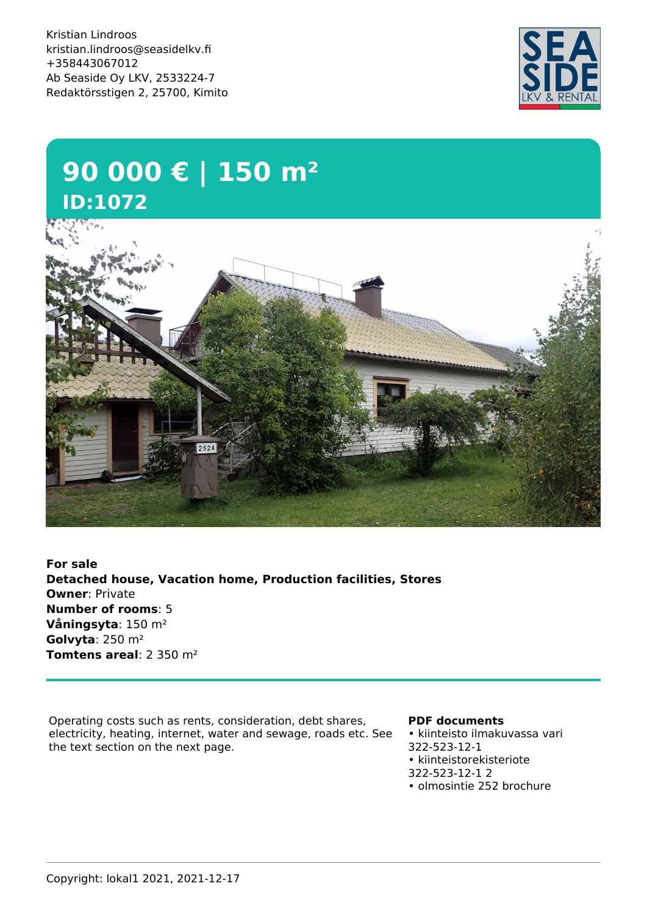Kristian Lindroos kristian.lindroos@seasidelkv.fi +358443067012 Ab Seaside Oy LKV, 2533224-7 Redaktörsstigen 2, 25700, Kimito



## **90 000 € | 150 m² ID:1072**

**For sale Detached house, Vacation home, Production facilities, Stores Owner**: Private **Number of rooms**: 5 **Våningsyta**: 150 m² **Golvyta**: 250 m² **Tomtens areal**: 2 350 m²

Operating costs such as rents, consideration, debt shares, electricity, heating, internet, water and sewage, roads etc. See the text section on the next page.

## **PDF documents**

• kiinteisto ilmakuvassa vari 322-523-12-1 • kiinteistorekisteriote 322-523-12-1 2 • olmosintie 252 brochure